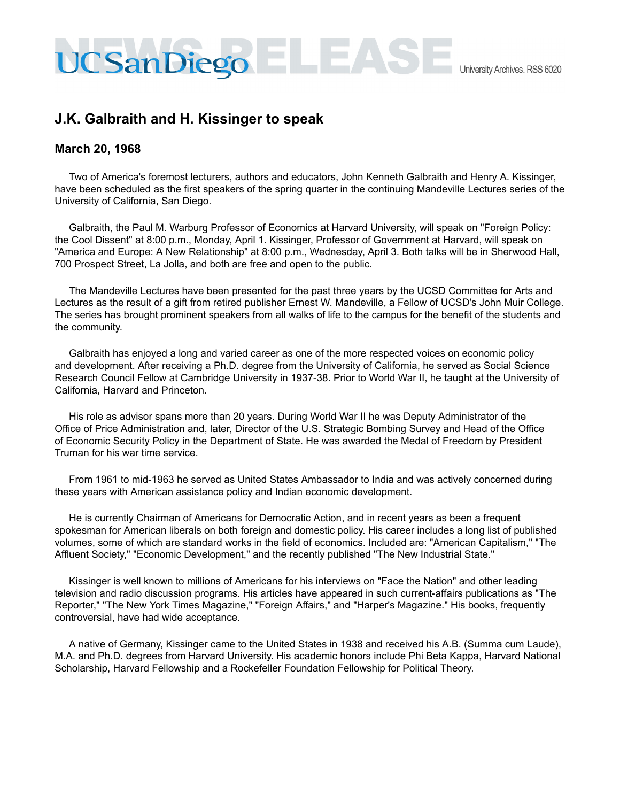## **J.K. Galbraith and H. Kissinger to speak**

## **March 20, 1968**

Two of America's foremost lecturers, authors and educators, John Kenneth Galbraith and Henry A. Kissinger, have been scheduled as the first speakers of the spring quarter in the continuing Mandeville Lectures series of the University of California, San Diego.

Galbraith, the Paul M. Warburg Professor of Economics at Harvard University, will speak on "Foreign Policy: the Cool Dissent" at 8:00 p.m., Monday, April 1. Kissinger, Professor of Government at Harvard, will speak on "America and Europe: A New Relationship" at 8:00 p.m., Wednesday, April 3. Both talks will be in Sherwood Hall, 700 Prospect Street, La Jolla, and both are free and open to the public.

The Mandeville Lectures have been presented for the past three years by the UCSD Committee for Arts and Lectures as the result of a gift from retired publisher Ernest W. Mandeville, a Fellow of UCSD's John Muir College. The series has brought prominent speakers from all walks of life to the campus for the benefit of the students and the community.

Galbraith has enjoyed a long and varied career as one of the more respected voices on economic policy and development. After receiving a Ph.D. degree from the University of California, he served as Social Science Research Council Fellow at Cambridge University in 1937-38. Prior to World War II, he taught at the University of California, Harvard and Princeton.

His role as advisor spans more than 20 years. During World War II he was Deputy Administrator of the Office of Price Administration and, later, Director of the U.S. Strategic Bombing Survey and Head of the Office of Economic Security Policy in the Department of State. He was awarded the Medal of Freedom by President Truman for his war time service.

From 1961 to mid-1963 he served as United States Ambassador to India and was actively concerned during these years with American assistance policy and Indian economic development.

He is currently Chairman of Americans for Democratic Action, and in recent years as been a frequent spokesman for American liberals on both foreign and domestic policy. His career includes a long list of published volumes, some of which are standard works in the field of economics. Included are: "American Capitalism," "The Affluent Society," "Economic Development," and the recently published "The New Industrial State."

Kissinger is well known to millions of Americans for his interviews on "Face the Nation" and other leading television and radio discussion programs. His articles have appeared in such current-affairs publications as "The Reporter," "The New York Times Magazine," "Foreign Affairs," and "Harper's Magazine." His books, frequently controversial, have had wide acceptance.

A native of Germany, Kissinger came to the United States in 1938 and received his A.B. (Summa cum Laude), M.A. and Ph.D. degrees from Harvard University. His academic honors include Phi Beta Kappa, Harvard National Scholarship, Harvard Fellowship and a Rockefeller Foundation Fellowship for Political Theory.